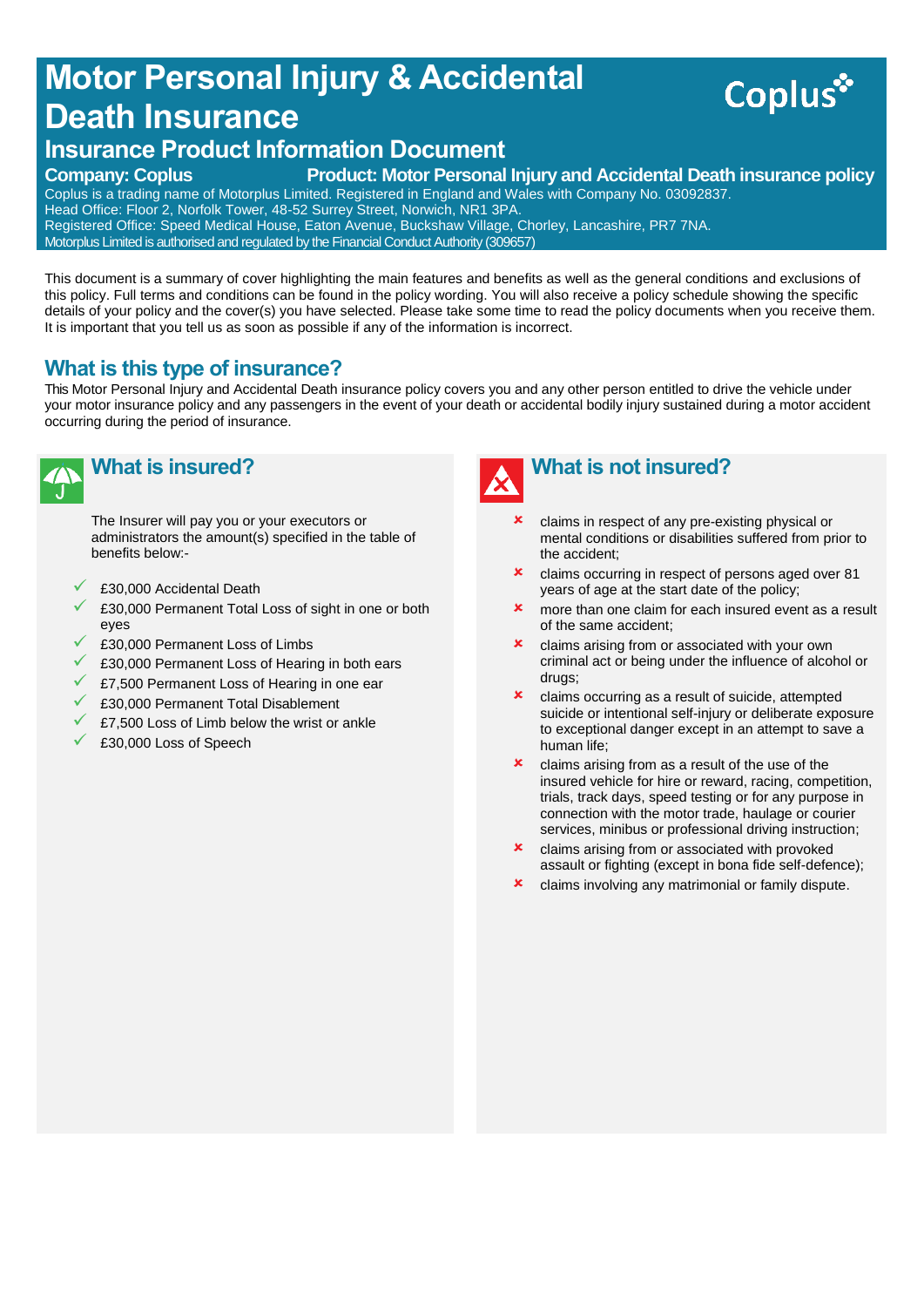# **Motor Personal Injury & Accidental Death Insurance**



# **Insurance Product Information Document**

#### **Company: Coplus Product: Motor Personal Injury and Accidental Death insurance policy**

Coplus is a trading name of Motorplus Limited. Registered in England and Wales with Company No. 03092837. Head Office: Floor 2, Norfolk Tower, 48-52 Surrey Street, Norwich, NR1 3PA. Registered Office: Speed Medical House, Eaton Avenue, Buckshaw Village, Chorley, Lancashire, PR7 7NA. Motorplus Limited is authorised and regulated by the Financial Conduct Authority (309657)

This document is a summary of cover highlighting the main features and benefits as well as the general conditions and exclusions of this policy. Full terms and conditions can be found in the policy wording. You will also receive a policy schedule showing the specific details of your policy and the cover(s) you have selected. Please take some time to read the policy documents when you receive them. It is important that you tell us as soon as possible if any of the information is incorrect.

# **What is this type of insurance?**

This Motor Personal Injury and Accidental Death insurance policy covers you and any other person entitled to drive the vehicle under your motor insurance policy and any passengers in the event of your death or accidental bodily injury sustained during a motor accident occurring during the period of insurance.



# **What is insured?**

The Insurer will pay you or your executors or administrators the amount(s) specified in the table of benefits below:-

- £30,000 Accidental Death
- £30,000 Permanent Total Loss of sight in one or both eyes
- £30,000 Permanent Loss of Limbs
- £30,000 Permanent Loss of Hearing in both ears
- £7,500 Permanent Loss of Hearing in one ear
- £30,000 Permanent Total Disablement
- £7,500 Loss of Limb below the wrist or ankle
- £30,000 Loss of Speech



- claims in respect of any pre-existing physical or mental conditions or disabilities suffered from prior to the accident;
- claims occurring in respect of persons aged over 81 years of age at the start date of the policy;
- **x** more than one claim for each insured event as a result of the same accident;
- **x** claims arising from or associated with your own criminal act or being under the influence of alcohol or drugs;
- **x** claims occurring as a result of suicide, attempted suicide or intentional self-injury or deliberate exposure to exceptional danger except in an attempt to save a human life;
- **x** claims arising from as a result of the use of the insured vehicle for hire or reward, racing, competition, trials, track days, speed testing or for any purpose in connection with the motor trade, haulage or courier services, minibus or professional driving instruction;
- **x** claims arising from or associated with provoked assault or fighting (except in bona fide self-defence);
- **x** claims involving any matrimonial or family dispute.